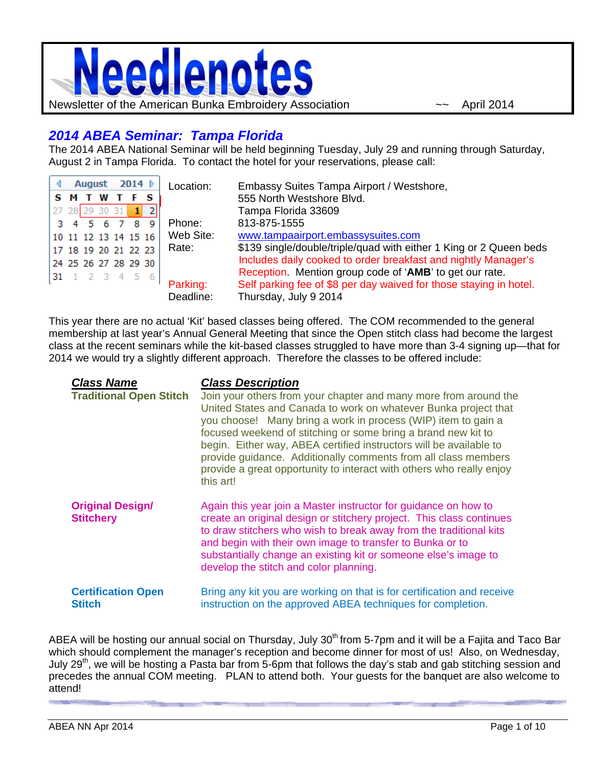

## *2014 ABEA Seminar: Tampa Florida*

The 2014 ABEA National Seminar will be held beginning Tuesday, July 29 and running through Saturday, August 2 in Tampa Florida. To contact the hotel for your reservations, please call:

| August           |  |  | 2014 |  |                      | Location:             | Embassy Suites Tampa Airport / Westshore,                                                                                                              |
|------------------|--|--|------|--|----------------------|-----------------------|--------------------------------------------------------------------------------------------------------------------------------------------------------|
| <b>SMTWT</b>     |  |  |      |  |                      |                       | 555 North Westshore Blvd.                                                                                                                              |
| 27 28 29 30 31 1 |  |  |      |  |                      |                       | Tampa Florida 33609                                                                                                                                    |
| 3 4 5 6 7 8      |  |  |      |  | -9                   | Phone:                | 813-875-1555                                                                                                                                           |
|                  |  |  |      |  | 10 11 12 13 14 15 16 | Web Site:             | www.tampaairport.embassysuites.com                                                                                                                     |
|                  |  |  |      |  | 17 18 19 20 21 22 23 | Rate:                 | \$139 single/double/triple/quad with either 1 King or 2 Queen beds                                                                                     |
|                  |  |  |      |  | 24 25 26 27 28 29 30 |                       | Includes daily cooked to order breakfast and nightly Manager's                                                                                         |
|                  |  |  |      |  | 31 1 2 3 4 5 6       | Parking:<br>Deadline: | Reception. Mention group code of 'AMB' to get our rate.<br>Self parking fee of \$8 per day waived for those staying in hotel.<br>Thursday, July 9 2014 |

This year there are no actual 'Kit' based classes being offered. The COM recommended to the general membership at last year's Annual General Meeting that since the Open stitch class had become the largest class at the recent seminars while the kit-based classes struggled to have more than 3-4 signing up—that for 2014 we would try a slightly different approach. Therefore the classes to be offered include:

| <b>Class Name</b><br><b>Traditional Open Stitch</b> | <b>Class Description</b><br>Join your others from your chapter and many more from around the<br>United States and Canada to work on whatever Bunka project that<br>you choose! Many bring a work in process (WIP) item to gain a<br>focused weekend of stitching or some bring a brand new kit to<br>begin. Either way, ABEA certified instructors will be available to<br>provide guidance. Additionally comments from all class members<br>provide a great opportunity to interact with others who really enjoy<br>this art! |
|-----------------------------------------------------|--------------------------------------------------------------------------------------------------------------------------------------------------------------------------------------------------------------------------------------------------------------------------------------------------------------------------------------------------------------------------------------------------------------------------------------------------------------------------------------------------------------------------------|
| <b>Original Design/</b><br><b>Stitchery</b>         | Again this year join a Master instructor for guidance on how to<br>create an original design or stitchery project. This class continues<br>to draw stitchers who wish to break away from the traditional kits<br>and begin with their own image to transfer to Bunka or to<br>substantially change an existing kit or someone else's image to<br>develop the stitch and color planning.                                                                                                                                        |
| <b>Certification Open</b><br><b>Stitch</b>          | Bring any kit you are working on that is for certification and receive<br>instruction on the approved ABEA techniques for completion.                                                                                                                                                                                                                                                                                                                                                                                          |

ABEA will be hosting our annual social on Thursday, July 30<sup>th</sup> from 5-7pm and it will be a Fajita and Taco Bar which should complement the manager's reception and become dinner for most of us! Also, on Wednesday, July 29<sup>th</sup>, we will be hosting a Pasta bar from 5-6pm that follows the day's stab and gab stitching session and precedes the annual COM meeting. PLAN to attend both. Your guests for the banquet are also welcome to attend!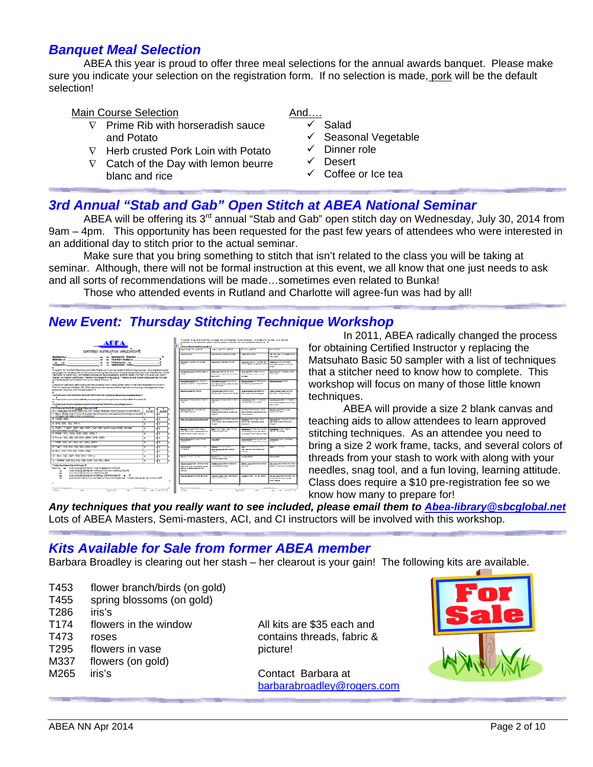### *Banquet Meal Selection*

 ABEA this year is proud to offer three meal selections for the annual awards banquet. Please make sure you indicate your selection on the registration form. If no selection is made, pork will be the default selection!

### Main Course Selection **And...** And...

- $\nabla$  Prime Rib with horseradish sauce and Potato
- $\nabla$  Herb crusted Pork Loin with Potato
- $\nabla$  Catch of the Day with lemon beurre blanc and rice

- Salad
- $\checkmark$  Seasonal Vegetable
- $\checkmark$  Dinner role
- $\checkmark$  Desert
- Coffee or Ice tea

## *3rd Annual "Stab and Gab" Open Stitch at ABEA National Seminar*

ABEA will be offering its 3<sup>rd</sup> annual "Stab and Gab" open stitch day on Wednesday, July 30, 2014 from 9am – 4pm. This opportunity has been requested for the past few years of attendees who were interested in an additional day to stitch prior to the actual seminar.

Make sure that you bring something to stitch that isn't related to the class you will be taking at seminar. Although, there will not be formal instruction at this event, we all know that one just needs to ask and all sorts of recommendations will be made…sometimes even related to Bunka!

Those who attended events in Rutland and Charlotte will agree-fun was had by all!

### *New Event: Thursday Stitching Technique Workshop*



In 2011, ABEA radically changed the process for obtaining Certified Instructor y replacing the Matsuhato Basic 50 sampler with a list of techniques that a stitcher need to know how to complete. This workshop will focus on many of those little known techniques.

 ABEA will provide a size 2 blank canvas and teaching aids to allow attendees to learn approved stitching techniques. As an attendee you need to bring a size 2 work frame, tacks, and several colors of threads from your stash to work with along with your needles, snag tool, and a fun loving, learning attitude. Class does require a \$10 pre-registration fee so we know how many to prepare for!

*Any techniques that you really want to see included, please email them to Abea-library@sbcglobal.net* Lots of ABEA Masters, Semi-masters, ACI, and CI instructors will be involved with this workshop.

## *Kits Available for Sale from former ABEA member*

Barbara Broadley is clearing out her stash – her clearout is your gain! The following kits are available.

- T453 flower branch/birds (on gold)
- T455 spring blossoms (on gold)
- T286 iris's
- T174 flowers in the window All kits are \$35 each and
- 
- T295 flowers in vase picture!
- M337 flowers (on gold)
- 

T473 roses contains threads, fabric &

M265 iris's Contact Barbara at barbarabroadley@rogers.com

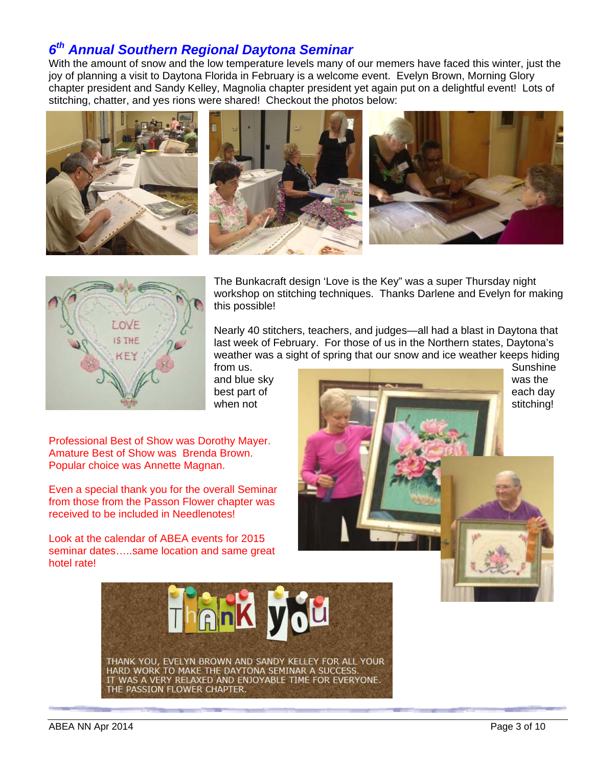## *6th Annual Southern Regional Daytona Seminar*

With the amount of snow and the low temperature levels many of our memers have faced this winter, just the joy of planning a visit to Daytona Florida in February is a welcome event. Evelyn Brown, Morning Glory chapter president and Sandy Kelley, Magnolia chapter president yet again put on a delightful event! Lots of stitching, chatter, and yes rions were shared! Checkout the photos below:







The Bunkacraft design 'Love is the Key" was a super Thursday night workshop on stitching techniques. Thanks Darlene and Evelyn for making this possible!

Nearly 40 stitchers, teachers, and judges—all had a blast in Daytona that last week of February. For those of us in the Northern states, Daytona's weather was a sight of spring that our snow and ice weather keeps hiding

Professional Best of Show was Dorothy Mayer. Amature Best of Show was Brenda Brown. Popular choice was Annette Magnan.

Even a special thank you for the overall Seminar from those from the Passon Flower chapter was received to be included in Needlenotes!

Look at the calendar of ABEA events for 2015 seminar dates…..same location and same great hotel rate!



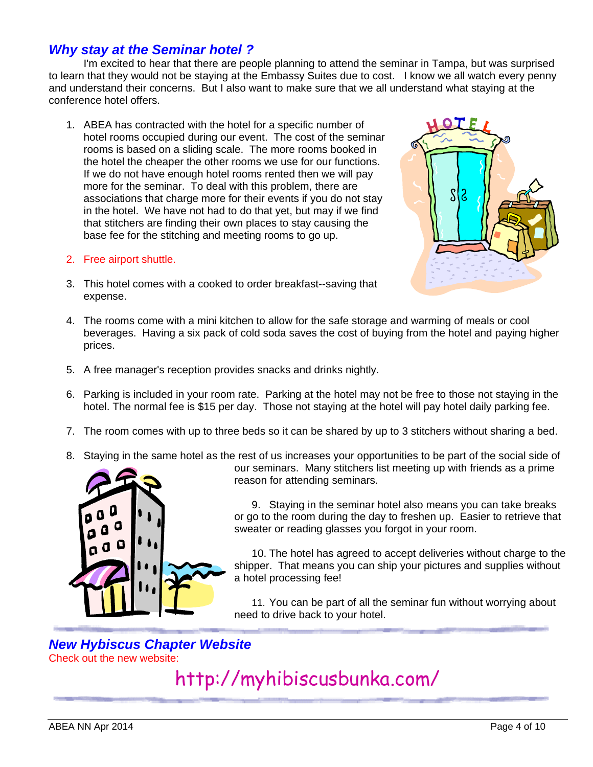## *Why stay at the Seminar hotel ?*

I'm excited to hear that there are people planning to attend the seminar in Tampa, but was surprised to learn that they would not be staying at the Embassy Suites due to cost. I know we all watch every penny and understand their concerns. But I also want to make sure that we all understand what staying at the conference hotel offers.

- 1. ABEA has contracted with the hotel for a specific number of hotel rooms occupied during our event. The cost of the seminar rooms is based on a sliding scale. The more rooms booked in the hotel the cheaper the other rooms we use for our functions. If we do not have enough hotel rooms rented then we will pay more for the seminar. To deal with this problem, there are associations that charge more for their events if you do not stay in the hotel. We have not had to do that yet, but may if we find that stitchers are finding their own places to stay causing the base fee for the stitching and meeting rooms to go up.
- 2. Free airport shuttle.



- 3. This hotel comes with a cooked to order breakfast--saving that expense.
- 4. The rooms come with a mini kitchen to allow for the safe storage and warming of meals or cool beverages. Having a six pack of cold soda saves the cost of buying from the hotel and paying higher prices.
- 5. A free manager's reception provides snacks and drinks nightly.
- 6. Parking is included in your room rate. Parking at the hotel may not be free to those not staying in the hotel. The normal fee is \$15 per day. Those not staying at the hotel will pay hotel daily parking fee.
- 7. The room comes with up to three beds so it can be shared by up to 3 stitchers without sharing a bed.
- 8. Staying in the same hotel as the rest of us increases your opportunities to be part of the social side of



our seminars. Many stitchers list meeting up with friends as a prime reason for attending seminars.

9. Staying in the seminar hotel also means you can take breaks or go to the room during the day to freshen up. Easier to retrieve that sweater or reading glasses you forgot in your room.

10. The hotel has agreed to accept deliveries without charge to the shipper. That means you can ship your pictures and supplies without a hotel processing fee!

11. You can be part of all the seminar fun without worrying about need to drive back to your hotel.

### *New Hybiscus Chapter Website*  Check out the new website:

http://myhibiscusbunka.com/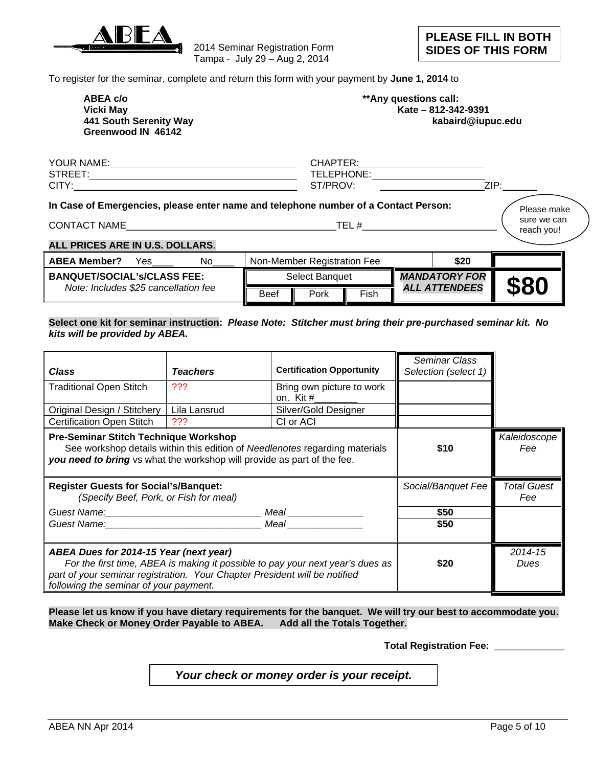

2014 Seminar Registration Form Tampa - July 29 – Aug 2, 2014

To register for the seminar, complete and return this form with your payment by **June 1, 2014** to

| ABEA c/o               | **Any questions call: |
|------------------------|-----------------------|
| Vicki Mav              | Kate - 812-342        |
| 441 South Serenity Way | kabair                |
| Greenwood IN 46142     |                       |

| ABEA c/o               | **Any questions call: |
|------------------------|-----------------------|
| Vicki May              | Kate - 812-342-9391   |
| 441 South Serenity Way | kabaird@iupuc.edu     |

| YOUR NAME:      | CHAP                                |           |
|-----------------|-------------------------------------|-----------|
| <b>STREET</b>   | LEPHONE:<br><b>TELE<sub>I</sub></b> |           |
| $\cap$ TV<br>◡ᡰ | T/DDON                              | 71D.<br>ட |
|                 |                                     |           |

#### **In Case of Emergencies, please enter name and telephone number of a Contact Person:**

CONTACT NAME\_\_\_\_\_\_\_\_\_\_\_\_\_\_\_\_\_\_\_\_\_\_\_\_\_\_\_\_\_\_\_\_\_\_\_\_\_\_\_TEL #\_\_\_\_\_\_\_\_\_\_\_\_\_\_\_\_\_\_\_\_\_\_\_\_\_

Please make sure we can reach you!

### **ALL PRICES ARE IN U.S. DOLLARS**.

| <b>ABEA Member?</b><br>No<br>es '    |                | Non-Member Registration Fee |                      |  | \$20                 |  |
|--------------------------------------|----------------|-----------------------------|----------------------|--|----------------------|--|
| <b>BANQUET/SOCIAL's/CLASS FEE:</b>   | Select Banguet |                             | <b>MANDATORY FOR</b> |  | \$80                 |  |
| Note: Includes \$25 cancellation fee | <b>Beef</b>    | Pork                        | Fish                 |  | <b>ALL ATTENDEES</b> |  |

### **Select one kit for seminar instruction:** *Please Note: Stitcher must bring their pre-purchased seminar kit. No kits will be provided by ABEA.*

| Class                                                                                                                                                                                                                                                                  | <b>Teachers</b>    | <b>Certification Opportunity</b>       | <b>Seminar Class</b><br>Selection (select 1) |  |  |
|------------------------------------------------------------------------------------------------------------------------------------------------------------------------------------------------------------------------------------------------------------------------|--------------------|----------------------------------------|----------------------------------------------|--|--|
| <b>Traditional Open Stitch</b>                                                                                                                                                                                                                                         | ???                | Bring own picture to work<br>on. Kit # |                                              |  |  |
| Original Design / Stitchery                                                                                                                                                                                                                                            | Lila Lansrud       | Silver/Gold Designer                   |                                              |  |  |
| <b>Certification Open Stitch</b><br>???<br>CI or ACI<br><b>Pre-Seminar Stitch Technique Workshop</b><br>See workshop details within this edition of Needlenotes regarding materials<br>\$10<br>you need to bring vs what the workshop will provide as part of the fee. |                    |                                        |                                              |  |  |
| <b>Register Guests for Social's/Banquet:</b><br>(Specify Beef, Pork, or Fish for meal)                                                                                                                                                                                 | Social/Banquet Fee | <b>Total Guest</b><br>Fee              |                                              |  |  |
|                                                                                                                                                                                                                                                                        |                    | Meal ____________                      | \$50                                         |  |  |
| Guest Name: Name and South American Meal                                                                                                                                                                                                                               |                    |                                        | \$50                                         |  |  |
| ABEA Dues for 2014-15 Year (next year)<br>For the first time, ABEA is making it possible to pay your next year's dues as<br>part of your seminar registration. Your Chapter President will be notified<br>following the seminar of your payment.                       | \$20               | 2014-15<br>Dues                        |                                              |  |  |

**Please let us know if you have dietary requirements for the banquet. We will try our best to accommodate you. Make Check or Money Order Payable to ABEA. Add all the Totals Together.** 

 **Total Registration Fee: \_\_\_\_\_\_\_\_\_\_\_\_\_** 

*Your check or money order is your receipt.*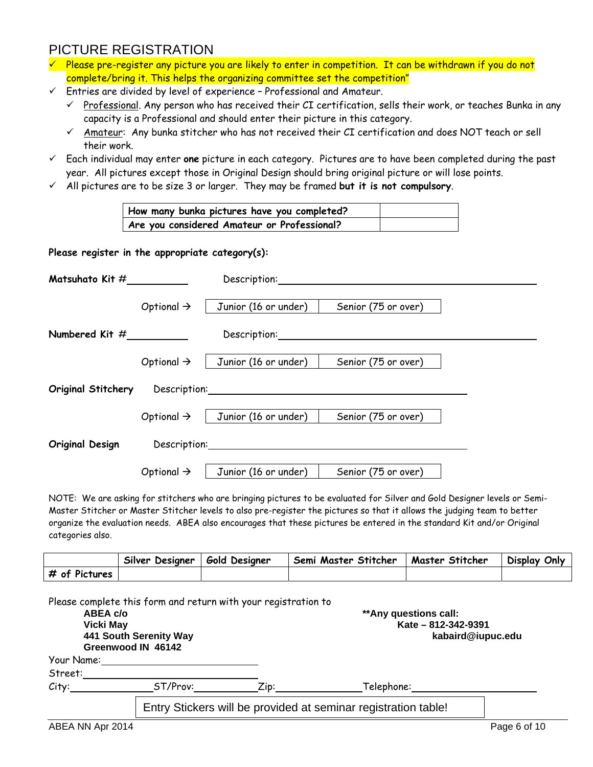# PICTURE REGISTRATION

- $\checkmark$  Please pre-register any picture you are likely to enter in competition. It can be withdrawn if you do not complete/bring it. This helps the organizing committee set the competition"
- $\checkmark$  Entries are divided by level of experience Professional and Amateur.
	- $\checkmark$  Professional. Any person who has received their CI certification, sells their work, or teaches Bunka in any capacity is a Professional and should enter their picture in this category.
	- $\checkmark$  Amateur: Any bunka stitcher who has not received their CI certification and does NOT teach or sell their work.
- Each individual may enter **one** picture in each category. Pictures are to have been completed during the past year. All pictures except those in Original Design should bring original picture or will lose points.
- All pictures are to be size 3 or larger. They may be framed **but it is not compulsory**.

| How many bunka pictures have you completed? |  |  |  |
|---------------------------------------------|--|--|--|
| Are you considered Amateur or Professional? |  |  |  |

#### **Please register in the appropriate category(s):**

|                    |                        | Description: Description:                                                                                                                                                                                                      |                     |  |
|--------------------|------------------------|--------------------------------------------------------------------------------------------------------------------------------------------------------------------------------------------------------------------------------|---------------------|--|
|                    | Optional $\rightarrow$ | Junior (16 or under)                                                                                                                                                                                                           | Senior (75 or over) |  |
|                    |                        | Description:                                                                                                                                                                                                                   |                     |  |
|                    | Optional $\rightarrow$ | Junior (16 or under)                                                                                                                                                                                                           | Senior (75 or over) |  |
| Original Stitchery |                        | Description: the contract of the contract of the contract of the contract of the contract of the contract of the contract of the contract of the contract of the contract of the contract of the contract of the contract of t |                     |  |
|                    |                        | Optional $\rightarrow$   Junior (16 or under)                                                                                                                                                                                  | Senior (75 or over) |  |
| Original Design    | Description:           |                                                                                                                                                                                                                                |                     |  |
|                    | Optional $\rightarrow$ | Junior (16 or under)                                                                                                                                                                                                           | Senior (75 or over) |  |

NOTE: We are asking for stitchers who are bringing pictures to be evaluated for Silver and Gold Designer levels or Semi-Master Stitcher or Master Stitcher levels to also pre-register the pictures so that it allows the judging team to better organize the evaluation needs. ABEA also encourages that these pictures be entered in the standard Kit and/or Original categories also.

|               | Silver Designer | <b>Gold Designer</b> | Semi Master Stitcher | Master Stitcher | Display Only |
|---------------|-----------------|----------------------|----------------------|-----------------|--------------|
| # of Pictures |                 |                      |                      |                 |              |

| ABEA c/o<br><b>Vicki May</b><br>Greenwood IN 46142<br>Your Name: | 441 South Serenity Way | Please complete this form and return with your registration to | **Any questions call:<br>Kate - 812-342-9391                   | kabaird@iupuc.edu |
|------------------------------------------------------------------|------------------------|----------------------------------------------------------------|----------------------------------------------------------------|-------------------|
| Street:                                                          |                        |                                                                |                                                                |                   |
| City:                                                            | ST/Prov:               | $\mathsf{Z}$ ip:                                               | Telephone:                                                     |                   |
|                                                                  |                        |                                                                | Entry Stickers will be provided at seminar registration table! |                   |
| ABEA NN Apr 2014                                                 |                        |                                                                |                                                                | Page 6 of 10      |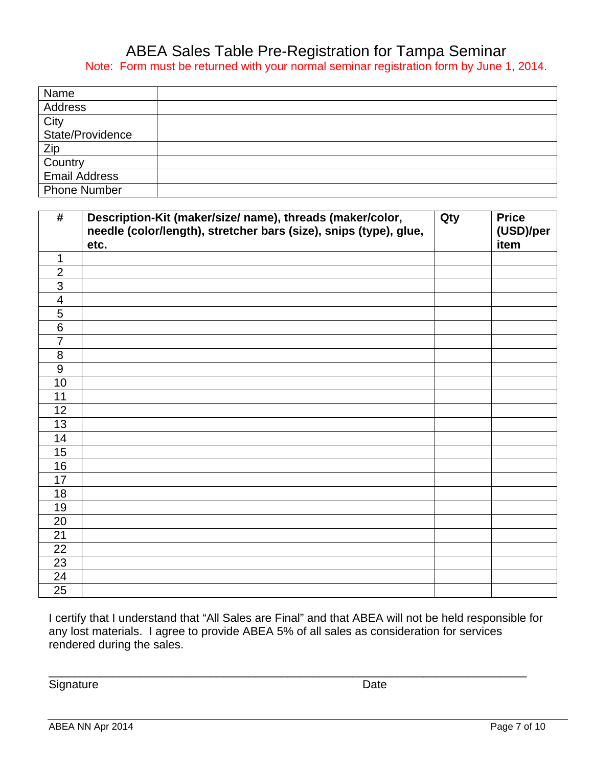## ABEA Sales Table Pre-Registration for Tampa Seminar Note: Form must be returned with your normal seminar registration form by June 1, 2014.

| Name                 |  |
|----------------------|--|
| Address              |  |
| City                 |  |
| State/Providence     |  |
| Zip                  |  |
| Country              |  |
| <b>Email Address</b> |  |
| <b>Phone Number</b>  |  |

| #                        | Description-Kit (maker/size/ name), threads (maker/color,<br>needle (color/length), stretcher bars (size), snips (type), glue,<br>etc. | Qty | <b>Price</b><br>(USD)/per<br>item |
|--------------------------|----------------------------------------------------------------------------------------------------------------------------------------|-----|-----------------------------------|
| $\mathbf 1$              |                                                                                                                                        |     |                                   |
| $\overline{2}$           |                                                                                                                                        |     |                                   |
| 3                        |                                                                                                                                        |     |                                   |
| $\overline{\mathcal{A}}$ |                                                                                                                                        |     |                                   |
| $\overline{5}$           |                                                                                                                                        |     |                                   |
| $\overline{6}$           |                                                                                                                                        |     |                                   |
| $\overline{7}$           |                                                                                                                                        |     |                                   |
| 8                        |                                                                                                                                        |     |                                   |
| $\overline{9}$           |                                                                                                                                        |     |                                   |
| 10                       |                                                                                                                                        |     |                                   |
| 11                       |                                                                                                                                        |     |                                   |
| 12                       |                                                                                                                                        |     |                                   |
| 13                       |                                                                                                                                        |     |                                   |
| 14                       |                                                                                                                                        |     |                                   |
| 15                       |                                                                                                                                        |     |                                   |
| 16                       |                                                                                                                                        |     |                                   |
| $\overline{17}$          |                                                                                                                                        |     |                                   |
| 18                       |                                                                                                                                        |     |                                   |
| 19                       |                                                                                                                                        |     |                                   |
| 20                       |                                                                                                                                        |     |                                   |
| 21                       |                                                                                                                                        |     |                                   |
| 22                       |                                                                                                                                        |     |                                   |
| 23                       |                                                                                                                                        |     |                                   |
| 24                       |                                                                                                                                        |     |                                   |
| 25                       |                                                                                                                                        |     |                                   |

I certify that I understand that "All Sales are Final" and that ABEA will not be held responsible for any lost materials. I agree to provide ABEA 5% of all sales as consideration for services rendered during the sales.

\_\_\_\_\_\_\_\_\_\_\_\_\_\_\_\_\_\_\_\_\_\_\_\_\_\_\_\_\_\_\_\_\_\_\_\_\_\_\_\_\_\_\_\_\_\_\_\_\_\_\_\_\_\_\_\_\_\_\_\_\_\_\_\_\_\_\_\_\_\_\_\_\_\_

Signature Date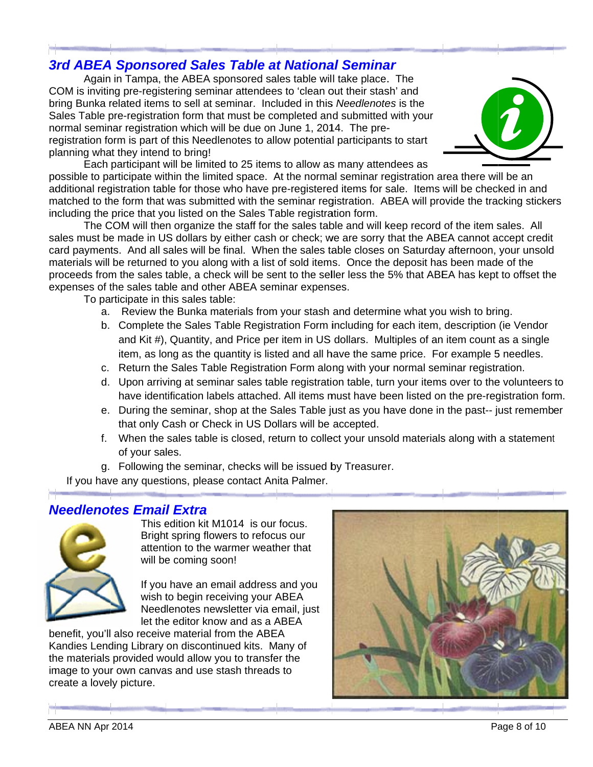# **3rd ABEA Sponsored Sales Table at National Seminar**

COM is inviting pre-registering seminar attendees to 'clean out their stash' and bring Bunka related items to sell at seminar. Included in this Needlenotes is the Sales Table pre-registration form that must be completed and submitted with your normal seminar registration which will be due on June 1, 2014. The preregistration form is part of this Needlenotes to allow potential participants to start planning what they intend to bring! Again in Tampa, the ABEA sponsored sales table will take place. The



possible to participate within the limited space. At the normal seminar registration area there will be an additional registration table for those who have pre-registered items for sale. Items will be checked in and matched to the form that was submitted with the seminar registration. ABEA will provide the tracking stickers including the price that you listed on the Sales Table registration form. Each participant will be limited to 25 items to allow as many attendees as

sales must be made in US dollars by either cash or check; we are sorry that the ABEA cannot accept credit card payments. And all sales will be final. When the sales table closes on Saturday afternoon, your unsold materials will be returned to you along with a list of sold items. Once the deposit has been made of the proceeds from the sales table, a check will be sent to the seller less the 5% that ABEA has kept to offset the expenses of the sales table and other ABEA seminar expenses. The COM will then organize the staff for the sales table and will keep record of the item sales. All

To participate in this sales table:

- a. Review the Bunka materials from your stash and determine what you wish to bring.
- b. Complete the Sales Table Registration Form including for each item, description (ie Vendor and Kit #), Quantity, and Price per item in US dollars. Multiples of an item count as a single item, as long as the quantity is listed and all have the same price. For example 5 needles.
- c. Return the Sales Table Registration Form along with your normal seminar registration.
- d. Upon arriving at seminar sales table registration table, turn your items over to the volunteers to have identification labels attached. All items must have been listed on the pre-registration form.
- e. During the seminar, shop at the Sales Table just as you have done in the past-- just remember that only Cash or Check in US Dollars will be accepted.
- f. When the sales table is closed, return to collect your unsold materials along with a statement of your sales.
- g. Following the seminar, checks will be issued by Treasurer.

If you have any questions, please contact Anita Palmer.

### **Needlenotes Email Extra**



This e edition kit M 1014 is our focus. Bright spring flowers to refocus our attention to the warmer weather that will be coming soon!

If you have an email address and you wish to begin receiving your ABEA Needlenotes newsletter via email, just let the editor know and as a ABEA

benefit, you'll also receive material from the ABEA Kandies Lending Library on discontinued kits. Many of the materials provided would allow you to transfer the image to your own canvas and use stash threads to create a lovely picture.

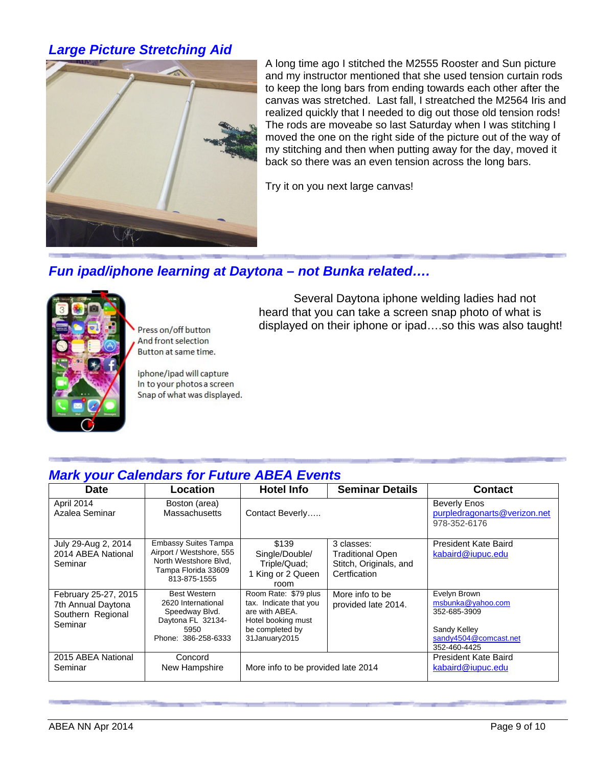# *Large Picture Stretching Aid*



A long time ago I stitched the M2555 Rooster and Sun picture and my instructor mentioned that she used tension curtain rods to keep the long bars from ending towards each other after the canvas was stretched. Last fall, I streatched the M2564 Iris and realized quickly that I needed to dig out those old tension rods! The rods are moveabe so last Saturday when I was stitching I moved the one on the right side of the picture out of the way of my stitching and then when putting away for the day, moved it back so there was an even tension across the long bars.

Try it on you next large canvas!

### *Fun ipad/iphone learning at Daytona – not Bunka related….*



Press on/off button And front selection Button at same time.

iphone/ipad will capture In to your photos a screen Snap of what was displayed.

 Several Daytona iphone welding ladies had not heard that you can take a screen snap photo of what is displayed on their iphone or ipad….so this was also taught!

# *Mark your Calendars for Future ABEA Events*

| <b>Date</b>                                                                | Location                                                                                                                | <b>Hotel Info</b>                                                                                                          | <b>Seminar Details</b>                                                          | <b>Contact</b>                                                                                             |
|----------------------------------------------------------------------------|-------------------------------------------------------------------------------------------------------------------------|----------------------------------------------------------------------------------------------------------------------------|---------------------------------------------------------------------------------|------------------------------------------------------------------------------------------------------------|
| April 2014<br>Azalea Seminar                                               | Boston (area)<br><b>Massachusetts</b>                                                                                   | Contact Beverly                                                                                                            |                                                                                 | <b>Beverly Enos</b><br>purpledragonarts@verizon.net<br>978-352-6176                                        |
| July 29-Aug 2, 2014<br>2014 ABEA National<br>Seminar                       | <b>Embassy Suites Tampa</b><br>Airport / Westshore, 555<br>North Westshore Blvd.<br>Tampa Florida 33609<br>813-875-1555 | \$139<br>Single/Double/<br>Triple/Quad;<br>1 King or 2 Queen<br>room                                                       | 3 classes:<br><b>Traditional Open</b><br>Stitch, Originals, and<br>Certfication | President Kate Baird<br>kabaird@iupuc.edu                                                                  |
| February 25-27, 2015<br>7th Annual Daytona<br>Southern Regional<br>Seminar | <b>Best Western</b><br>2620 International<br>Speedway Blvd.<br>Daytona FL 32134-<br>5950<br>Phone: 386-258-6333         | Room Rate: \$79 plus<br>tax. Indicate that you<br>are with ABEA.<br>Hotel booking must<br>be completed by<br>31January2015 | More info to be<br>provided late 2014.                                          | Evelyn Brown<br>msbunka@yahoo.com<br>352-685-3909<br>Sandy Kelley<br>sandy4504@comcast.net<br>352-460-4425 |
| 2015 ABEA National<br>Seminar                                              | Concord<br>New Hampshire                                                                                                | More info to be provided late 2014                                                                                         |                                                                                 | President Kate Baird<br>kabaird@iupuc.edu                                                                  |